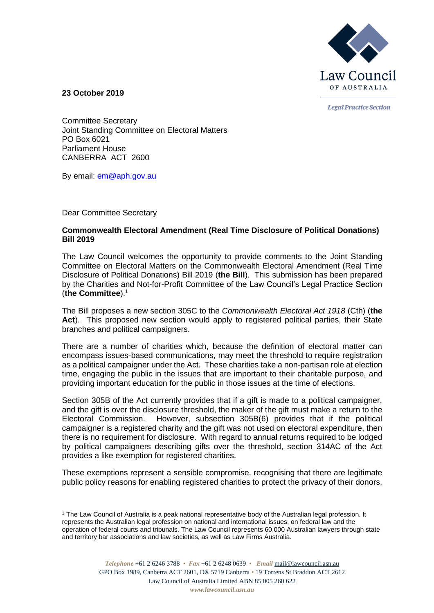

**Legal Practice Section** 

**23 October 2019**

Committee Secretary Joint Standing Committee on Electoral Matters PO Box 6021 Parliament House CANBERRA ACT 2600

By email: [em@aph.gov.au](mailto:em@aph.gov.au)

Dear Committee Secretary

## **Commonwealth Electoral Amendment (Real Time Disclosure of Political Donations) Bill 2019**

The Law Council welcomes the opportunity to provide comments to the Joint Standing Committee on Electoral Matters on the Commonwealth Electoral Amendment (Real Time Disclosure of Political Donations) Bill 2019 (**the Bill**). This submission has been prepared by the Charities and Not-for-Profit Committee of the Law Council's Legal Practice Section (**the Committee**).<sup>1</sup>

The Bill proposes a new section 305C to the *Commonwealth Electoral Act 1918* (Cth) (**the**  Act). This proposed new section would apply to registered political parties, their State branches and political campaigners.

There are a number of charities which, because the definition of electoral matter can encompass issues-based communications, may meet the threshold to require registration as a political campaigner under the Act. These charities take a non-partisan role at election time, engaging the public in the issues that are important to their charitable purpose, and providing important education for the public in those issues at the time of elections.

Section 305B of the Act currently provides that if a gift is made to a political campaigner, and the gift is over the disclosure threshold, the maker of the gift must make a return to the Electoral Commission. However, subsection 305B(6) provides that if the political campaigner is a registered charity and the gift was not used on electoral expenditure, then there is no requirement for disclosure. With regard to annual returns required to be lodged by political campaigners describing gifts over the threshold, section 314AC of the Act provides a like exemption for registered charities.

These exemptions represent a sensible compromise, recognising that there are legitimate public policy reasons for enabling registered charities to protect the privacy of their donors,

<sup>1</sup> The Law Council of Australia is a peak national representative body of the Australian legal profession. It represents the Australian legal profession on national and international issues, on federal law and the operation of federal courts and tribunals. The Law Council represents 60,000 Australian lawyers through state and territory bar associations and law societies, as well as Law Firms Australia.